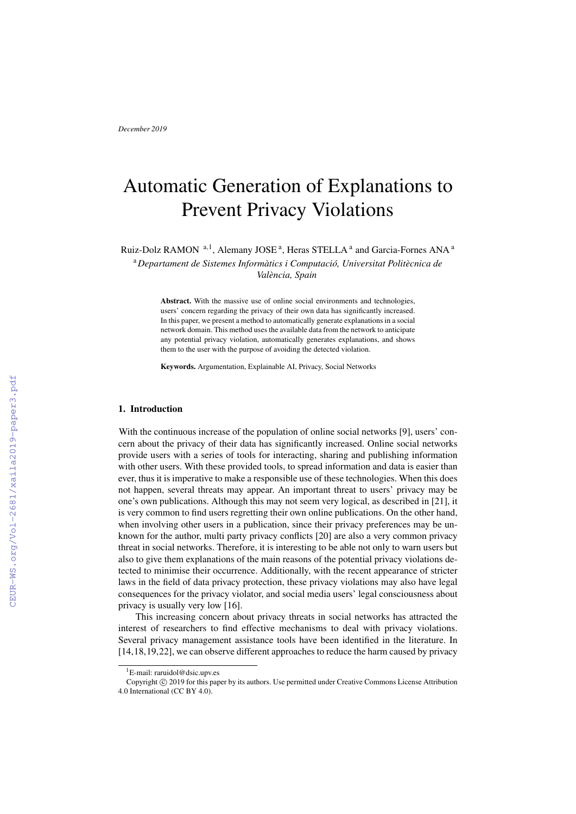# Automatic Generation of Explanations to Prevent Privacy Violations

Ruiz-Dolz RAMON <sup>a, 1</sup>, Alemany JOSE<sup>a</sup>, Heras STELLA<sup>a</sup> and Garcia-Fornes ANA<sup>a</sup>

<sup>a</sup>*Departament de Sistemes Informatics i Computaci ` o, Universitat Polit ´ ecnica de ` Valencia, Spain `*

Abstract. With the massive use of online social environments and technologies, users' concern regarding the privacy of their own data has significantly increased. In this paper, we present a method to automatically generate explanations in a social network domain. This method uses the available data from the network to anticipate any potential privacy violation, automatically generates explanations, and shows them to the user with the purpose of avoiding the detected violation.

Keywords. Argumentation, Explainable AI, Privacy, Social Networks

# 1. Introduction

With the continuous increase of the population of online social networks [9], users' concern about the privacy of their data has significantly increased. Online social networks provide users with a series of tools for interacting, sharing and publishing information with other users. With these provided tools, to spread information and data is easier than ever, thus it is imperative to make a responsible use of these technologies. When this does not happen, several threats may appear. An important threat to users' privacy may be one's own publications. Although this may not seem very logical, as described in [21], it is very common to find users regretting their own online publications. On the other hand, when involving other users in a publication, since their privacy preferences may be unknown for the author, multi party privacy conflicts [20] are also a very common privacy threat in social networks. Therefore, it is interesting to be able not only to warn users but also to give them explanations of the main reasons of the potential privacy violations detected to minimise their occurrence. Additionally, with the recent appearance of stricter laws in the field of data privacy protection, these privacy violations may also have legal consequences for the privacy violator, and social media users' legal consciousness about privacy is usually very low [16].

This increasing concern about privacy threats in social networks has attracted the interest of researchers to find effective mechanisms to deal with privacy violations. Several privacy management assistance tools have been identified in the literature. In [14,18,19,22], we can observe different approaches to reduce the harm caused by privacy

<sup>&</sup>lt;sup>1</sup>E-mail: raruidol@dsic.upv.es

Copyright © 2019 for this paper by its authors. Use permitted under Creative Commons License Attribution 4.0 International (CC BY 4.0).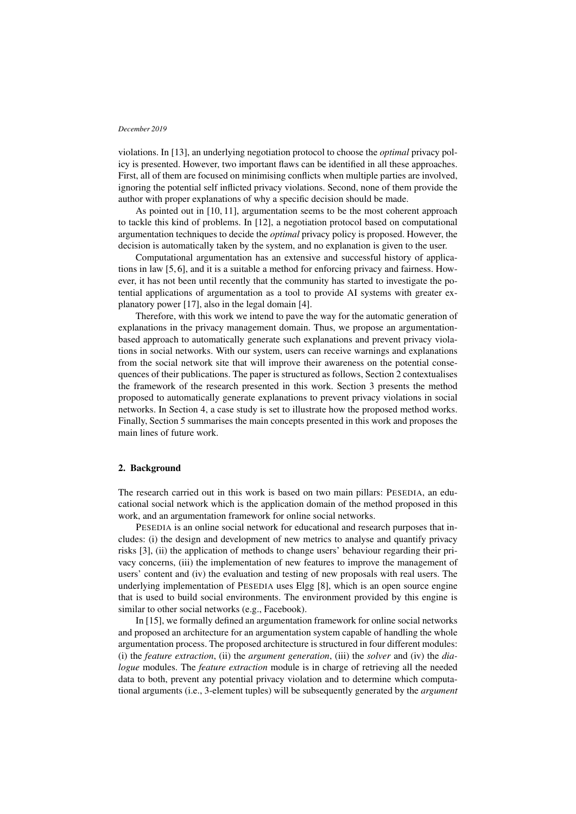violations. In [13], an underlying negotiation protocol to choose the *optimal* privacy policy is presented. However, two important flaws can be identified in all these approaches. First, all of them are focused on minimising conflicts when multiple parties are involved, ignoring the potential self inflicted privacy violations. Second, none of them provide the author with proper explanations of why a specific decision should be made.

As pointed out in [10, 11], argumentation seems to be the most coherent approach to tackle this kind of problems. In [12], a negotiation protocol based on computational argumentation techniques to decide the *optimal* privacy policy is proposed. However, the decision is automatically taken by the system, and no explanation is given to the user.

Computational argumentation has an extensive and successful history of applications in law [5, 6], and it is a suitable a method for enforcing privacy and fairness. However, it has not been until recently that the community has started to investigate the potential applications of argumentation as a tool to provide AI systems with greater explanatory power [17], also in the legal domain [4].

Therefore, with this work we intend to pave the way for the automatic generation of explanations in the privacy management domain. Thus, we propose an argumentationbased approach to automatically generate such explanations and prevent privacy violations in social networks. With our system, users can receive warnings and explanations from the social network site that will improve their awareness on the potential consequences of their publications. The paper is structured as follows, Section 2 contextualises the framework of the research presented in this work. Section 3 presents the method proposed to automatically generate explanations to prevent privacy violations in social networks. In Section 4, a case study is set to illustrate how the proposed method works. Finally, Section 5 summarises the main concepts presented in this work and proposes the main lines of future work.

## 2. Background

The research carried out in this work is based on two main pillars: PESEDIA, an educational social network which is the application domain of the method proposed in this work, and an argumentation framework for online social networks.

PESEDIA is an online social network for educational and research purposes that includes: (i) the design and development of new metrics to analyse and quantify privacy risks [3], (ii) the application of methods to change users' behaviour regarding their privacy concerns, (iii) the implementation of new features to improve the management of users' content and (iv) the evaluation and testing of new proposals with real users. The underlying implementation of PESEDIA uses Elgg [8], which is an open source engine that is used to build social environments. The environment provided by this engine is similar to other social networks (e.g., Facebook).

In [15], we formally defined an argumentation framework for online social networks and proposed an architecture for an argumentation system capable of handling the whole argumentation process. The proposed architecture is structured in four different modules: (i) the *feature extraction*, (ii) the *argument generation*, (iii) the *solver* and (iv) the *dialogue* modules. The *feature extraction* module is in charge of retrieving all the needed data to both, prevent any potential privacy violation and to determine which computational arguments (i.e., 3-element tuples) will be subsequently generated by the *argument*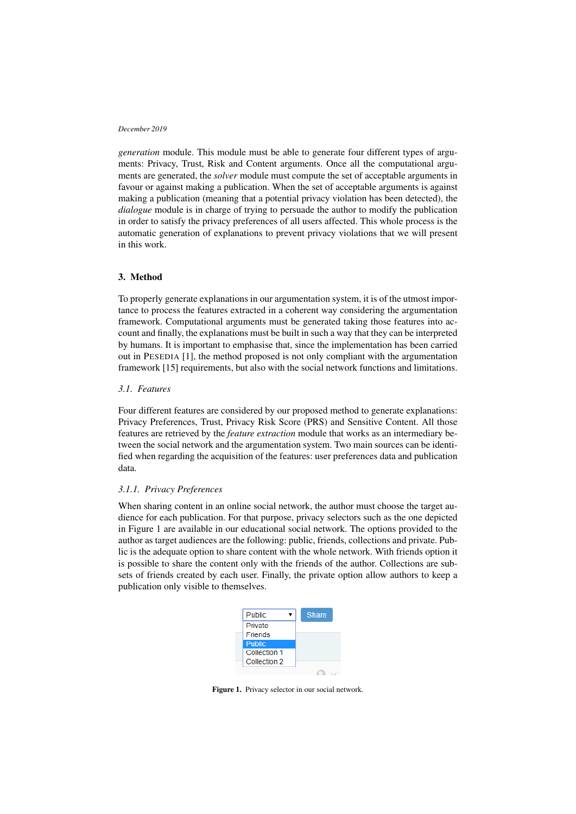*generation* module. This module must be able to generate four different types of arguments: Privacy, Trust, Risk and Content arguments. Once all the computational arguments are generated, the *solver* module must compute the set of acceptable arguments in favour or against making a publication. When the set of acceptable arguments is against making a publication (meaning that a potential privacy violation has been detected), the *dialogue* module is in charge of trying to persuade the author to modify the publication in order to satisfy the privacy preferences of all users affected. This whole process is the automatic generation of explanations to prevent privacy violations that we will present in this work.

## 3. Method

To properly generate explanations in our argumentation system, it is of the utmost importance to process the features extracted in a coherent way considering the argumentation framework. Computational arguments must be generated taking those features into account and finally, the explanations must be built in such a way that they can be interpreted by humans. It is important to emphasise that, since the implementation has been carried out in PESEDIA [1], the method proposed is not only compliant with the argumentation framework [15] requirements, but also with the social network functions and limitations.

# *3.1. Features*

Four different features are considered by our proposed method to generate explanations: Privacy Preferences, Trust, Privacy Risk Score (PRS) and Sensitive Content. All those features are retrieved by the *feature extraction* module that works as an intermediary between the social network and the argumentation system. Two main sources can be identified when regarding the acquisition of the features: user preferences data and publication data.

## *3.1.1. Privacy Preferences*

When sharing content in an online social network, the author must choose the target audience for each publication. For that purpose, privacy selectors such as the one depicted in Figure 1 are available in our educational social network. The options provided to the author as target audiences are the following: public, friends, collections and private. Public is the adequate option to share content with the whole network. With friends option it is possible to share the content only with the friends of the author. Collections are subsets of friends created by each user. Finally, the private option allow authors to keep a publication only visible to themselves.



Figure 1. Privacy selector in our social network.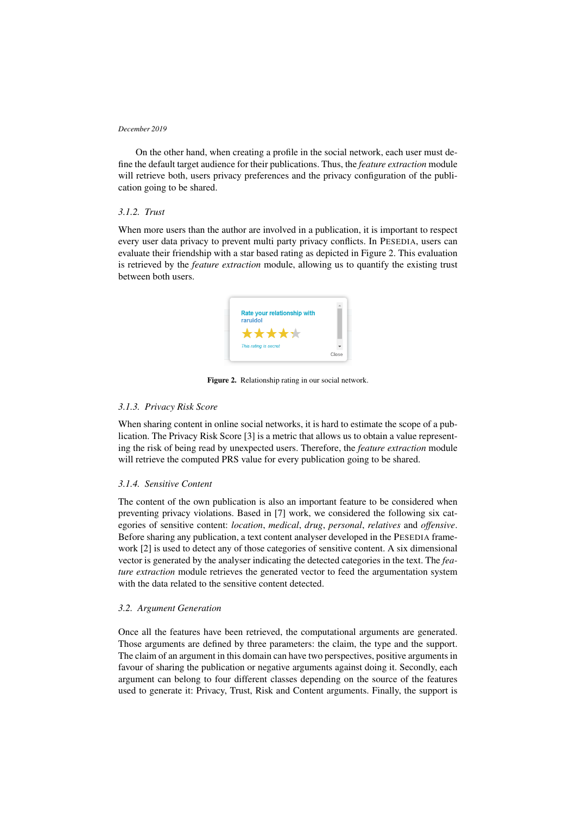On the other hand, when creating a profile in the social network, each user must define the default target audience for their publications. Thus, the *feature extraction* module will retrieve both, users privacy preferences and the privacy configuration of the publication going to be shared.

# *3.1.2. Trust*

When more users than the author are involved in a publication, it is important to respect every user data privacy to prevent multi party privacy conflicts. In PESEDIA, users can evaluate their friendship with a star based rating as depicted in Figure 2. This evaluation is retrieved by the *feature extraction* module, allowing us to quantify the existing trust between both users.



Figure 2. Relationship rating in our social network.

## *3.1.3. Privacy Risk Score*

When sharing content in online social networks, it is hard to estimate the scope of a publication. The Privacy Risk Score [3] is a metric that allows us to obtain a value representing the risk of being read by unexpected users. Therefore, the *feature extraction* module will retrieve the computed PRS value for every publication going to be shared.

## *3.1.4. Sensitive Content*

The content of the own publication is also an important feature to be considered when preventing privacy violations. Based in [7] work, we considered the following six categories of sensitive content: *location*, *medical*, *drug*, *personal*, *relatives* and *offensive*. Before sharing any publication, a text content analyser developed in the PESEDIA framework [2] is used to detect any of those categories of sensitive content. A six dimensional vector is generated by the analyser indicating the detected categories in the text. The *feature extraction* module retrieves the generated vector to feed the argumentation system with the data related to the sensitive content detected.

## *3.2. Argument Generation*

Once all the features have been retrieved, the computational arguments are generated. Those arguments are defined by three parameters: the claim, the type and the support. The claim of an argument in this domain can have two perspectives, positive arguments in favour of sharing the publication or negative arguments against doing it. Secondly, each argument can belong to four different classes depending on the source of the features used to generate it: Privacy, Trust, Risk and Content arguments. Finally, the support is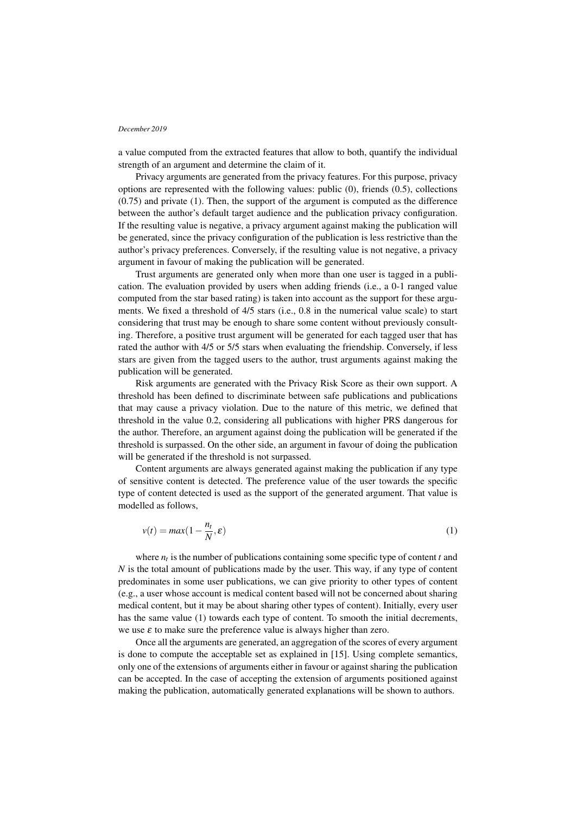a value computed from the extracted features that allow to both, quantify the individual strength of an argument and determine the claim of it.

Privacy arguments are generated from the privacy features. For this purpose, privacy options are represented with the following values: public (0), friends (0.5), collections (0.75) and private (1). Then, the support of the argument is computed as the difference between the author's default target audience and the publication privacy configuration. If the resulting value is negative, a privacy argument against making the publication will be generated, since the privacy configuration of the publication is less restrictive than the author's privacy preferences. Conversely, if the resulting value is not negative, a privacy argument in favour of making the publication will be generated.

Trust arguments are generated only when more than one user is tagged in a publication. The evaluation provided by users when adding friends (i.e., a 0-1 ranged value computed from the star based rating) is taken into account as the support for these arguments. We fixed a threshold of 4/5 stars (i.e., 0.8 in the numerical value scale) to start considering that trust may be enough to share some content without previously consulting. Therefore, a positive trust argument will be generated for each tagged user that has rated the author with 4/5 or 5/5 stars when evaluating the friendship. Conversely, if less stars are given from the tagged users to the author, trust arguments against making the publication will be generated.

Risk arguments are generated with the Privacy Risk Score as their own support. A threshold has been defined to discriminate between safe publications and publications that may cause a privacy violation. Due to the nature of this metric, we defined that threshold in the value 0.2, considering all publications with higher PRS dangerous for the author. Therefore, an argument against doing the publication will be generated if the threshold is surpassed. On the other side, an argument in favour of doing the publication will be generated if the threshold is not surpassed.

Content arguments are always generated against making the publication if any type of sensitive content is detected. The preference value of the user towards the specific type of content detected is used as the support of the generated argument. That value is modelled as follows,

$$
v(t) = max(1 - \frac{n_t}{N}, \varepsilon)
$$
\n(1)

where  $n_t$  is the number of publications containing some specific type of content  $t$  and *N* is the total amount of publications made by the user. This way, if any type of content predominates in some user publications, we can give priority to other types of content (e.g., a user whose account is medical content based will not be concerned about sharing medical content, but it may be about sharing other types of content). Initially, every user has the same value (1) towards each type of content. To smooth the initial decrements, we use  $\varepsilon$  to make sure the preference value is always higher than zero.

Once all the arguments are generated, an aggregation of the scores of every argument is done to compute the acceptable set as explained in [15]. Using complete semantics, only one of the extensions of arguments either in favour or against sharing the publication can be accepted. In the case of accepting the extension of arguments positioned against making the publication, automatically generated explanations will be shown to authors.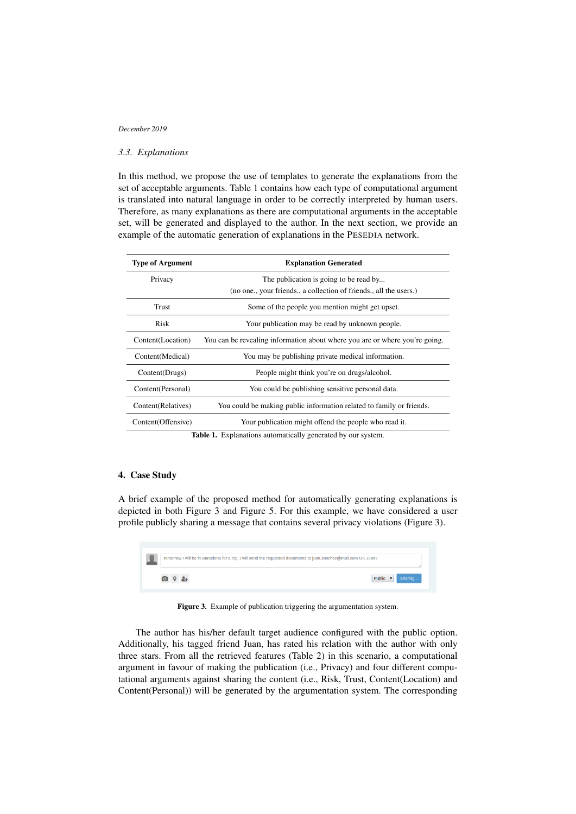# *3.3. Explanations*

In this method, we propose the use of templates to generate the explanations from the set of acceptable arguments. Table 1 contains how each type of computational argument is translated into natural language in order to be correctly interpreted by human users. Therefore, as many explanations as there are computational arguments in the acceptable set, will be generated and displayed to the author. In the next section, we provide an example of the automatic generation of explanations in the PESEDIA network.

| <b>Type of Argument</b>                                                                       | <b>Explanation Generated</b>                                                |  |
|-----------------------------------------------------------------------------------------------|-----------------------------------------------------------------------------|--|
| Privacy                                                                                       | The publication is going to be read by                                      |  |
|                                                                                               | (no one., your friends., a collection of friends., all the users.)          |  |
| Trust                                                                                         | Some of the people you mention might get upset.                             |  |
| Risk                                                                                          | Your publication may be read by unknown people.                             |  |
| Content(Location)                                                                             | You can be revealing information about where you are or where you're going. |  |
| Content(Medical)                                                                              | You may be publishing private medical information.                          |  |
| Content(Drugs)                                                                                | People might think you're on drugs/alcohol.                                 |  |
| Content(Personal)                                                                             | You could be publishing sensitive personal data.                            |  |
| Content(Relatives)                                                                            | You could be making public information related to family or friends.        |  |
| Content(Offensive)                                                                            | Your publication might offend the people who read it.                       |  |
| ЛЪ L L − 1 → Пост1 се са1 село от село са1 се 11 се село село 1 1 септември село во село на 1 |                                                                             |  |

Table 1. Explanations automatically generated by our system.

# 4. Case Study

A brief example of the proposed method for automatically generating explanations is depicted in both Figure 3 and Figure 5. For this example, we have considered a user profile publicly sharing a message that contains several privacy violations (Figure 3).



Figure 3. Example of publication triggering the argumentation system.

The author has his/her default target audience configured with the public option. Additionally, his tagged friend Juan, has rated his relation with the author with only three stars. From all the retrieved features (Table 2) in this scenario, a computational argument in favour of making the publication (i.e., Privacy) and four different computational arguments against sharing the content (i.e., Risk, Trust, Content(Location) and Content(Personal)) will be generated by the argumentation system. The corresponding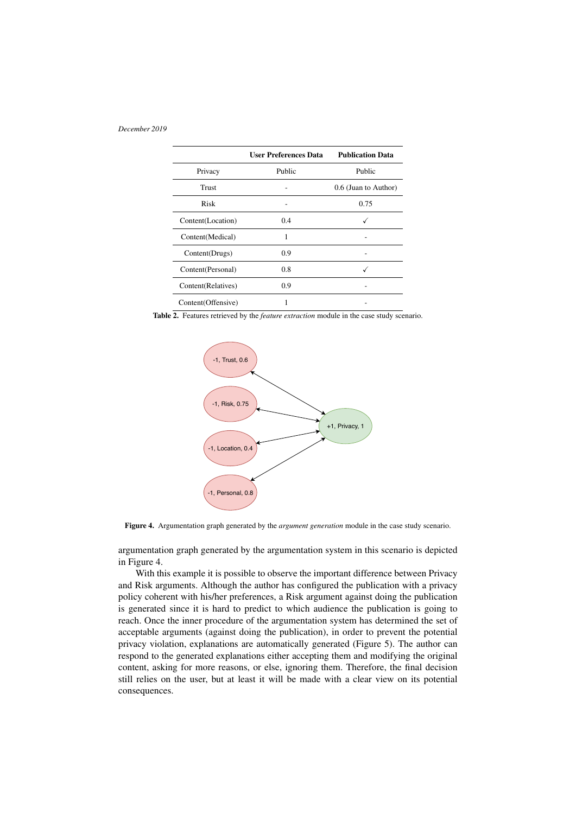|                    | <b>User Preferences Data</b> | <b>Publication Data</b> |
|--------------------|------------------------------|-------------------------|
| Privacy            | Public                       | Public                  |
| Trust              |                              | 0.6 (Juan to Author)    |
| Risk               |                              | 0.75                    |
| Content(Location)  | 0.4                          |                         |
| Content(Medical)   | 1                            |                         |
| Content(Drugs)     | 0.9                          |                         |
| Content(Personal)  | 0.8                          |                         |
| Content(Relatives) | 0.9                          |                         |
| Content(Offensive) |                              |                         |

Table 2. Features retrieved by the *feature extraction* module in the case study scenario.



Figure 4. Argumentation graph generated by the *argument generation* module in the case study scenario.

argumentation graph generated by the argumentation system in this scenario is depicted in Figure 4.

With this example it is possible to observe the important difference between Privacy and Risk arguments. Although the author has configured the publication with a privacy policy coherent with his/her preferences, a Risk argument against doing the publication is generated since it is hard to predict to which audience the publication is going to reach. Once the inner procedure of the argumentation system has determined the set of acceptable arguments (against doing the publication), in order to prevent the potential privacy violation, explanations are automatically generated (Figure 5). The author can respond to the generated explanations either accepting them and modifying the original content, asking for more reasons, or else, ignoring them. Therefore, the final decision still relies on the user, but at least it will be made with a clear view on its potential consequences.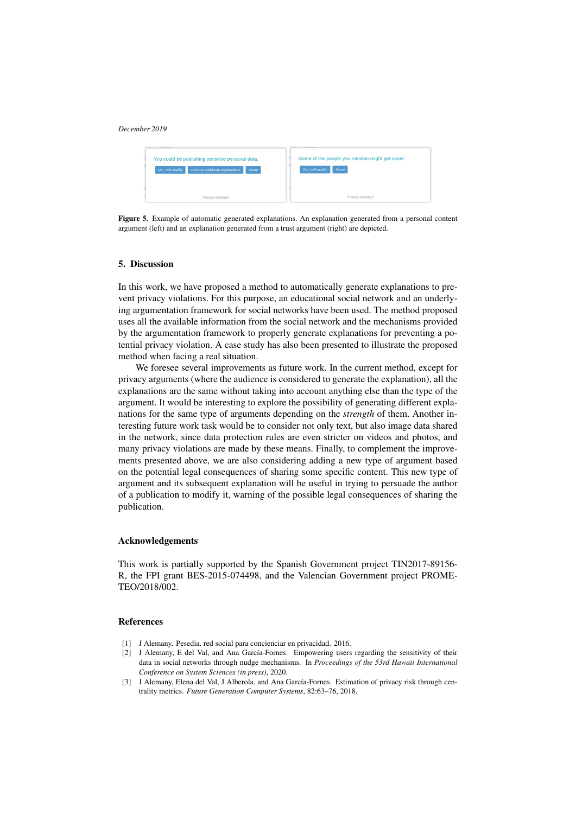

Figure 5. Example of automatic generated explanations. An explanation generated from a personal content argument (left) and an explanation generated from a trust argument (right) are depicted.

## 5. Discussion

In this work, we have proposed a method to automatically generate explanations to prevent privacy violations. For this purpose, an educational social network and an underlying argumentation framework for social networks have been used. The method proposed uses all the available information from the social network and the mechanisms provided by the argumentation framework to properly generate explanations for preventing a potential privacy violation. A case study has also been presented to illustrate the proposed method when facing a real situation.

We foresee several improvements as future work. In the current method, except for privacy arguments (where the audience is considered to generate the explanation), all the explanations are the same without taking into account anything else than the type of the argument. It would be interesting to explore the possibility of generating different explanations for the same type of arguments depending on the *strength* of them. Another interesting future work task would be to consider not only text, but also image data shared in the network, since data protection rules are even stricter on videos and photos, and many privacy violations are made by these means. Finally, to complement the improvements presented above, we are also considering adding a new type of argument based on the potential legal consequences of sharing some specific content. This new type of argument and its subsequent explanation will be useful in trying to persuade the author of a publication to modify it, warning of the possible legal consequences of sharing the publication.

#### Acknowledgements

This work is partially supported by the Spanish Government project TIN2017-89156- R, the FPI grant BES-2015-074498, and the Valencian Government project PROME-TEO/2018/002.

#### References

- [1] J Alemany. Pesedia. red social para concienciar en privacidad. 2016.
- [2] J Alemany, E del Val, and Ana García-Fornes. Empowering users regarding the sensitivity of their data in social networks through nudge mechanisms. In *Proceedings of the 53rd Hawaii International Conference on System Sciences (in press)*, 2020.
- [3] J Alemany, Elena del Val, J Alberola, and Ana García-Fornes. Estimation of privacy risk through centrality metrics. *Future Generation Computer Systems*, 82:63–76, 2018.